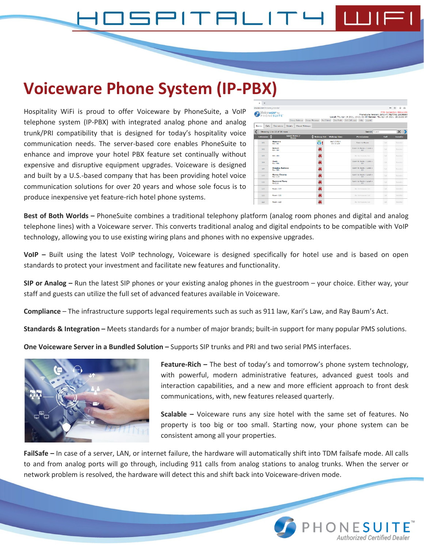# TALIT

## **Voiceware Phone System (IP-PBX)**

Hospitality WiFi is proud to offer Voiceware by PhoneSuite, a VoIP telephone system (IP-PBX) with integrated analog phone and analog trunk/PRI compatibility that is designed for today's hospitality voice communication needs. The server-based core enables PhoneSuite to enhance and improve your hotel PBX feature set continually without expensive and disruptive equipment upgrades. Voiceware is designed and built by a U.S.-based company that has been providing hotel voice communication solutions for over 20 years and whose sole focus is to produce inexpensive yet feature-rich hotel phone systems.

| ×                            | $+$                        |                                         |                                  |                   |                        |                                                                                                                                                                                                      |                                   |    |                 |                 |
|------------------------------|----------------------------|-----------------------------------------|----------------------------------|-------------------|------------------------|------------------------------------------------------------------------------------------------------------------------------------------------------------------------------------------------------|-----------------------------------|----|-----------------|-----------------|
| iceware.com/browser console/ |                            |                                         |                                  |                   |                        |                                                                                                                                                                                                      | O+                                | ÷. | $\circ$         | $\mathcal{O}_2$ |
|                              |                            | Voiceware*by<br>PHONESUITE <sup>*</sup> |                                  |                   |                        | PhoneSuite Version: 29f1147.TESTING 20190605<br>Local: Thu Apr 15 2021, 10:21:02 AM Server: Thu Apr 15 2021, 10:21:02 AM<br>Group Wakeup Group Message Not Paired Day Mode Get Call Logs Help Logout | <b>PMS Connection Status: Old</b> |    |                 |                 |
| <b>Rooms</b>                 | Calls                      | Externácmy                              | <b>Details</b><br>Missed Wakeups |                   |                        |                                                                                                                                                                                                      |                                   |    |                 |                 |
|                              | Showing 1 to 10 of 36 rows |                                         |                                  |                   |                        | $\times$<br>Search Soarch                                                                                                                                                                            |                                   |    |                 |                 |
|                              | Extension                  |                                         | <b>Guest Name /</b><br>Room      | <b>Wakeup Set</b> | <b>Wakeup Time</b>     | Permissions                                                                                                                                                                                          | Call                              |    | <b>Iransfer</b> |                 |
|                              | 101                        | Maureen<br>Rm 101                       |                                  | ō!                | 04/17/2021<br>09:30 AM | Room-to-Room                                                                                                                                                                                         | Call                              |    | Toursier        |                 |
|                              | 102                        | Robert<br>Rm 102                        |                                  | ×                 |                        | Roam to Roam + Local +<br>LD                                                                                                                                                                         | Call                              |    | Toursler        |                 |
|                              | 103                        | Rm 103                                  |                                  | ×                 |                        | No Permissions Set                                                                                                                                                                                   | Call                              |    | Tourister       |                 |
|                              | 104                        | Hank<br>Rm 104                          |                                  | ×                 |                        | Room to Room + Local +<br>ID                                                                                                                                                                         | Call                              |    | Transfer        |                 |
|                              | <b>KOS</b>                 | <b>Douglas Ramsey</b><br>Rm 105         |                                  | 属                 |                        | Roam-to-Roam + Local +<br>ID                                                                                                                                                                         | Call                              |    | Transfer        |                 |
|                              | 115                        | <b>Kenny Cheung</b><br>Rm 115           |                                  | 暴                 |                        | Room-to-Room + Local +<br>ID                                                                                                                                                                         | Call                              |    | Transfer        |                 |
|                              | 116                        | <b>Raymond Tang</b><br>Rm116            |                                  | ×                 |                        | Roam-to-Roam + Local +<br>ID                                                                                                                                                                         | Call                              |    | Transfer        |                 |
|                              | 119                        | <b>Room 110</b>                         |                                  | 募                 |                        | No Permissions Net                                                                                                                                                                                   | Call                              |    | Iransfer        |                 |
|                              | 121                        | Room 121                                |                                  | ×                 |                        | No Fermissions Set                                                                                                                                                                                   | Call                              |    | <b>Iransfer</b> |                 |
|                              | 123                        | Room 123                                |                                  |                   |                        | No Permissions Set                                                                                                                                                                                   | Call                              |    | Transfer        |                 |

**Best of Both Worlds –** PhoneSuite combines a traditional telephony platform (analog room phones and digital and analog telephone lines) with a Voiceware server. This converts traditional analog and digital endpoints to be compatible with VoIP technology, allowing you to use existing wiring plans and phones with no expensive upgrades.

**VoIP –** Built using the latest VoIP technology, Voiceware is designed specifically for hotel use and is based on open standards to protect your investment and facilitate new features and functionality.

**SIP or Analog –** Run the latest SIP phones or your existing analog phones in the guestroom – your choice. Either way, your staff and guests can utilize the full set of advanced features available in Voiceware.

**Compliance** – The infrastructure supports legal requirements such as such as 911 law, Kari's Law, and Ray Baum's Act.

**Standards & Integration –** Meets standards for a number of major brands; built-in support for many popular PMS solutions.

**One Voiceware Server in a Bundled Solution –** Supports SIP trunks and PRI and two serial PMS interfaces.



**Feature-Rich –** The best of today's and tomorrow's phone system technology, with powerful, modern administrative features, advanced guest tools and interaction capabilities, and a new and more efficient approach to front desk communications, with, new features released quarterly.

**Scalable –** Voiceware runs any size hotel with the same set of features. No property is too big or too small. Starting now, your phone system can be consistent among all your properties.

Authorized Certified Dealer

**FailSafe –** In case of a server, LAN, or internet failure, the hardware will automatically shift into TDM failsafe mode. All calls to and from analog ports will go through, including 911 calls from analog stations to analog trunks. When the server or network problem is resolved, the hardware will detect this and shift back into Voiceware-driven mode.